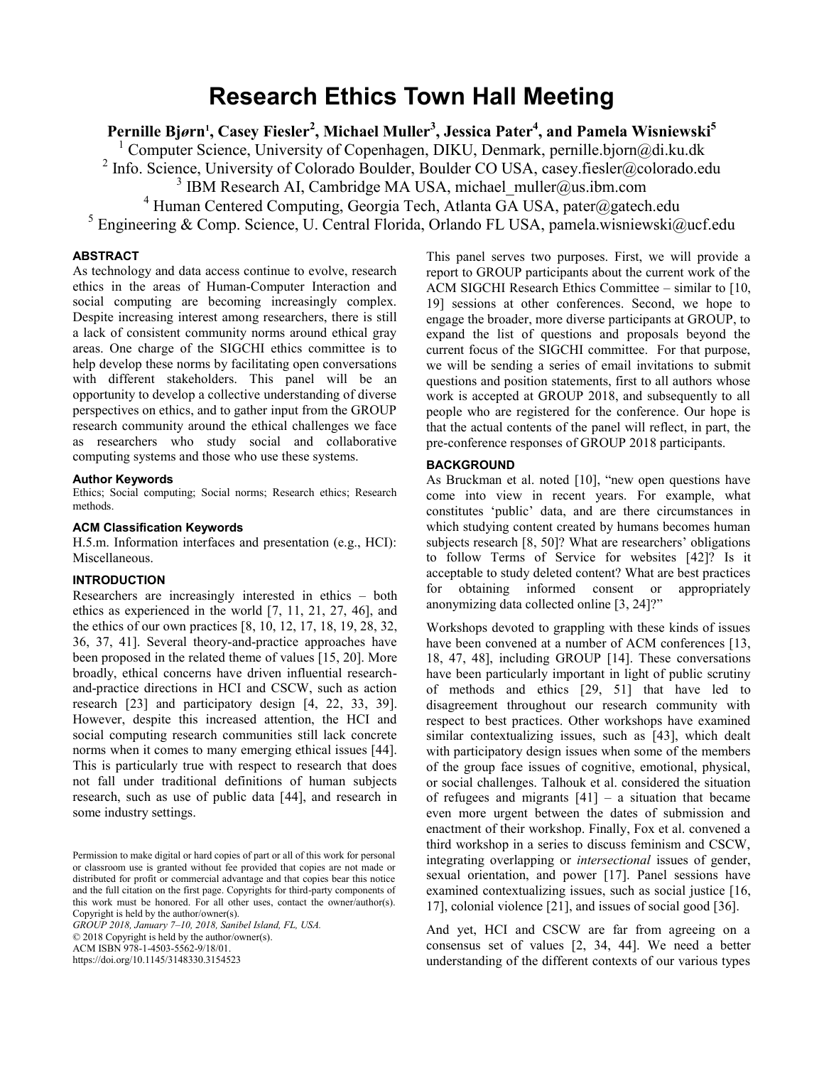# **Research Ethics Town Hall Meeting**

**Pernille Bj***ø***rn<sup>1</sup> , Casey Fiesler<sup>2</sup> , Michael Muller<sup>3</sup> , Jessica Pater<sup>4</sup> , and Pamela Wisniewski<sup>5</sup>** <sup>1</sup> Computer Science, University of Copenhagen, DIKU, Denmark, pernille.bjorn@di.ku.dk <sup>2</sup> Info. Science, University of Colorado Boulder, Boulder CO USA, casey.fiesler@colorado.edu <sup>3</sup> IBM Research AI, Cambridge MA USA, michael\_muller@us.ibm.com <sup>4</sup> Human Centered Computing, Georgia Tech, Atlanta GA USA, pater@gatech.edu <sup>5</sup> Engineering & Comp. Science, U. Central Florida, Orlando FL USA, pamela.wisniewski@ucf.edu

# **ABSTRACT**

As technology and data access continue to evolve, research ethics in the areas of Human-Computer Interaction and social computing are becoming increasingly complex. Despite increasing interest among researchers, there is still a lack of consistent community norms around ethical gray areas. One charge of the SIGCHI ethics committee is to help develop these norms by facilitating open conversations with different stakeholders. This panel will be an opportunity to develop a collective understanding of diverse perspectives on ethics, and to gather input from the GROUP research community around the ethical challenges we face as researchers who study social and collaborative computing systems and those who use these systems.

#### **Author Keywords**

Ethics; Social computing; Social norms; Research ethics; Research methods.

#### **ACM Classification Keywords**

H.5.m. Information interfaces and presentation (e.g., HCI): Miscellaneous.

# **INTRODUCTION**

Researchers are increasingly interested in ethics – both ethics as experienced in the world [\[7,](#page-2-0) [11,](#page-2-1) [21,](#page-2-2) [27,](#page-2-3) [46\]](#page-3-0), and the ethics of our own practices [\[8,](#page-2-4) [10,](#page-2-5) [12,](#page-2-6) [17,](#page-2-7) [18,](#page-2-8) [19,](#page-2-9) [28,](#page-2-10) [32,](#page-3-1) [36,](#page-3-2) [37,](#page-3-3) [41\]](#page-3-4). Several theory-and-practice approaches have been proposed in the related theme of values [\[15,](#page-2-11) [20\]](#page-2-12). More broadly, ethical concerns have driven influential researchand-practice directions in HCI and CSCW, such as action research [23] and participatory design [4, 22, 33, 39]. However, despite this increased attention, the HCI and social computing research communities still lack concrete norms when it comes to many emerging ethical issues [44]. This is particularly true with respect to research that does not fall under traditional definitions of human subjects research, such as use of public data [44], and research in some industry settings.

*GROUP 2018, January 7–10, 2018, Sanibel Island, FL, USA.* © 2018 Copyright is held by the author/owner(s). ACM ISBN 978-1-4503-5562-9/18/01. https://doi.org/10.1145/3148330.3154523

This panel serves two purposes. First, we will provide a report to GROUP participants about the current work of the ACM SIGCHI Research Ethics Committee – similar to [10, 19] sessions at other conferences. Second, we hope to engage the broader, more diverse participants at GROUP, to expand the list of questions and proposals beyond the current focus of the SIGCHI committee. For that purpose, we will be sending a series of email invitations to submit questions and position statements, first to all authors whose work is accepted at GROUP 2018, and subsequently to all people who are registered for the conference. Our hope is that the actual contents of the panel will reflect, in part, the pre-conference responses of GROUP 2018 participants.

# **BACKGROUND**

As Bruckman et al. noted [10], "new open questions have come into view in recent years. For example, what constitutes 'public' data, and are there circumstances in which studying content created by humans becomes human subjects research [8, 50]? What are researchers' obligations to follow Terms of Service for websites [42]? Is it acceptable to study deleted content? What are best practices for obtaining informed consent or appropriately anonymizing data collected online [3, 24]?"

Workshops devoted to grappling with these kinds of issues have been convened at a number of ACM conferences [13, 18, 47, 48], including GROUP [14]. These conversations have been particularly important in light of public scrutiny of methods and ethics [29, 51] that have led to disagreement throughout our research community with respect to best practices. Other workshops have examined similar contextualizing issues, such as [43], which dealt with participatory design issues when some of the members of the group face issues of cognitive, emotional, physical, or social challenges. Talhouk et al. considered the situation of refugees and migrants  $[41]$  – a situation that became even more urgent between the dates of submission and enactment of their workshop. Finally, Fox et al. convened a third workshop in a series to discuss feminism and CSCW, integrating overlapping or *intersectional* issues of gender, sexual orientation, and power [17]. Panel sessions have examined contextualizing issues, such as social justice [16, 17], colonial violence [21], and issues of social good [36].

And yet, HCI and CSCW are far from agreeing on a consensus set of values [2, 34, 44]. We need a better understanding of the different contexts of our various types

Permission to make digital or hard copies of part or all of this work for personal or classroom use is granted without fee provided that copies are not made or distributed for profit or commercial advantage and that copies bear this notice and the full citation on the first page. Copyrights for third-party components of this work must be honored. For all other uses, contact the owner/author(s). Copyright is held by the author/owner(s).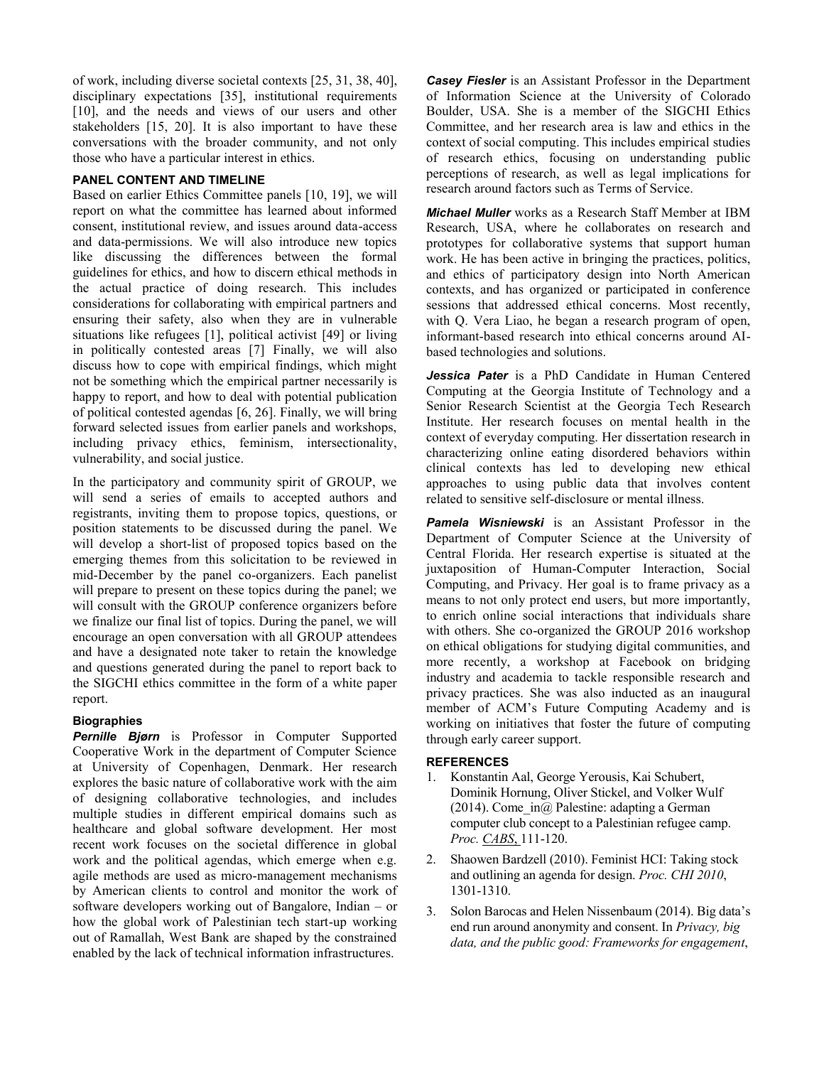of work, including diverse societal contexts [25, 31, 38, 40], disciplinary expectations [35], institutional requirements [10], and the needs and views of our users and other stakeholders [15, 20]. It is also important to have these conversations with the broader community, and not only those who have a particular interest in ethics.

# **PANEL CONTENT AND TIMELINE**

Based on earlier Ethics Committee panels [10, 19], we will report on what the committee has learned about informed consent, institutional review, and issues around data-access and data-permissions. We will also introduce new topics like discussing the differences between the formal guidelines for ethics, and how to discern ethical methods in the actual practice of doing research. This includes considerations for collaborating with empirical partners and ensuring their safety, also when they are in vulnerable situations like refugees [1], political activist [49] or living in politically contested areas [7] Finally, we will also discuss how to cope with empirical findings, which might not be something which the empirical partner necessarily is happy to report, and how to deal with potential publication of political contested agendas [6, 26]. Finally, we will bring forward selected issues from earlier panels and workshops, including privacy ethics, feminism, intersectionality, vulnerability, and social justice.

In the participatory and community spirit of GROUP, we will send a series of emails to accepted authors and registrants, inviting them to propose topics, questions, or position statements to be discussed during the panel. We will develop a short-list of proposed topics based on the emerging themes from this solicitation to be reviewed in mid-December by the panel co-organizers. Each panelist will prepare to present on these topics during the panel; we will consult with the GROUP conference organizers before we finalize our final list of topics. During the panel, we will encourage an open conversation with all GROUP attendees and have a designated note taker to retain the knowledge and questions generated during the panel to report back to the SIGCHI ethics committee in the form of a white paper report.

# **Biographies**

*Pernille Bjørn* is Professor in Computer Supported Cooperative Work in the department of Computer Science at University of Copenhagen, Denmark. Her research explores the basic nature of collaborative work with the aim of designing collaborative technologies, and includes multiple studies in different empirical domains such as healthcare and global software development. Her most recent work focuses on the societal difference in global work and the political agendas, which emerge when e.g. agile methods are used as micro-management mechanisms by American clients to control and monitor the work of software developers working out of Bangalore, Indian – or how the global work of Palestinian tech start-up working out of Ramallah, West Bank are shaped by the constrained enabled by the lack of technical information infrastructures.

*Casey Fiesler* is an Assistant Professor in the Department of Information Science at the University of Colorado Boulder, USA. She is a member of the SIGCHI Ethics Committee, and her research area is law and ethics in the context of social computing. This includes empirical studies of research ethics, focusing on understanding public perceptions of research, as well as legal implications for research around factors such as Terms of Service.

*Michael Muller* works as a Research Staff Member at IBM Research, USA, where he collaborates on research and prototypes for collaborative systems that support human work. He has been active in bringing the practices, politics, and ethics of participatory design into North American contexts, and has organized or participated in conference sessions that addressed ethical concerns. Most recently, with Q. Vera Liao, he began a research program of open, informant-based research into ethical concerns around AIbased technologies and solutions.

*Jessica Pater* is a PhD Candidate in Human Centered Computing at the Georgia Institute of Technology and a Senior Research Scientist at the Georgia Tech Research Institute. Her research focuses on mental health in the context of everyday computing. Her dissertation research in characterizing online eating disordered behaviors within clinical contexts has led to developing new ethical approaches to using public data that involves content related to sensitive self-disclosure or mental illness.

*Pamela Wisniewski* is an Assistant Professor in the Department of Computer Science at the University of Central Florida. Her research expertise is situated at the juxtaposition of Human-Computer Interaction, Social Computing, and Privacy. Her goal is to frame privacy as a means to not only protect end users, but more importantly, to enrich online social interactions that individuals share with others. She co-organized the GROUP 2016 workshop on ethical obligations for studying digital communities, and more recently, a workshop at Facebook on bridging industry and academia to tackle responsible research and privacy practices. She was also inducted as an inaugural member of ACM's Future Computing Academy and is working on initiatives that foster the future of computing through early career support.

# **REFERENCES**

- 1. Konstantin Aal, George Yerousis, Kai Schubert, Dominik Hornung, Oliver Stickel, and Volker Wulf (2014). Come  $in\hat{\omega}$  Palestine: adapting a German computer club concept to a Palestinian refugee camp. *Proc. CABS*, 111-120.
- 2. Shaowen Bardzell (2010). Feminist HCI: Taking stock and outlining an agenda for design. *Proc. CHI 2010*, 1301-1310.
- 3. Solon Barocas and Helen Nissenbaum (2014). Big data's end run around anonymity and consent. In *Privacy, big data, and the public good: Frameworks for engagement*,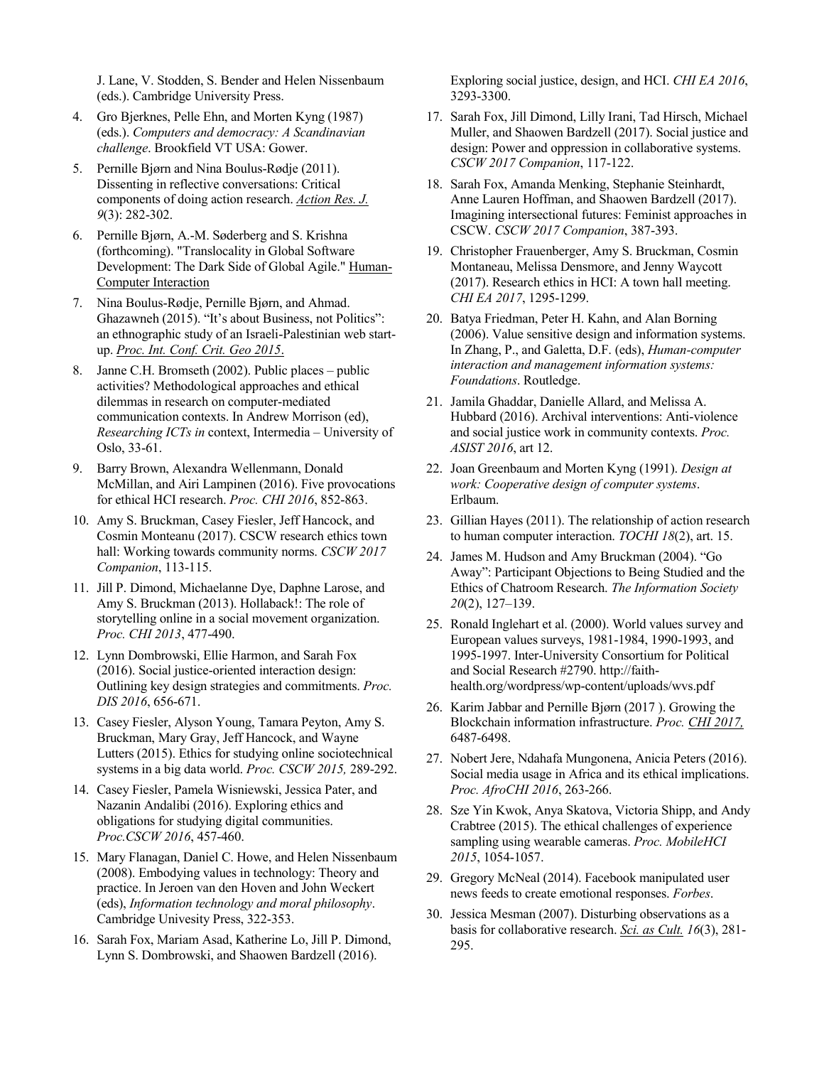J. Lane, V. Stodden, S. Bender and Helen Nissenbaum (eds.). Cambridge University Press.

- 4. Gro Bjerknes, Pelle Ehn, and Morten Kyng (1987) (eds.). *Computers and democracy: A Scandinavian challenge*. Brookfield VT USA: Gower.
- 5. Pernille Bjørn and Nina Boulus-Rødje (2011). Dissenting in reflective conversations: Critical components of doing action research. *Action Res. J. 9*(3): 282-302.
- 6. Pernille Bjørn, A.-M. Søderberg and S. Krishna (forthcoming). "Translocality in Global Software Development: The Dark Side of Global Agile." Human-Computer Interaction
- <span id="page-2-0"></span>7. Nina Boulus-Rødje, Pernille Bjørn, and Ahmad. Ghazawneh (2015). "It's about Business, not Politics": an ethnographic study of an Israeli-Palestinian web startup. *Proc. Int. Conf. Crit. Geo 2015*.
- <span id="page-2-4"></span>8. Janne C.H. Bromseth (2002). Public places – public activities? Methodological approaches and ethical dilemmas in research on computer-mediated communication contexts. In Andrew Morrison (ed), *Researching ICTs in* context, Intermedia – University of Oslo, 33-61.
- 9. Barry Brown, Alexandra Wellenmann, Donald McMillan, and Airi Lampinen (2016). Five provocations for ethical HCI research. *Proc. CHI 2016*, 852-863.
- <span id="page-2-5"></span>10. Amy S. Bruckman, Casey Fiesler, Jeff Hancock, and Cosmin Monteanu (2017). CSCW research ethics town hall: Working towards community norms. *CSCW 2017 Companion*, 113-115.
- <span id="page-2-1"></span>11. Jill P. Dimond, Michaelanne Dye, Daphne Larose, and Amy S. Bruckman (2013). Hollaback!: The role of storytelling online in a social movement organization. *Proc. CHI 2013*, 477-490.
- <span id="page-2-6"></span>12. Lynn Dombrowski, Ellie Harmon, and Sarah Fox (2016). Social justice-oriented interaction design: Outlining key design strategies and commitments. *Proc. DIS 2016*, 656-671.
- 13. Casey Fiesler, Alyson Young, Tamara Peyton, Amy S. Bruckman, Mary Gray, Jeff Hancock, and Wayne Lutters (2015). Ethics for studying online sociotechnical systems in a big data world. *Proc. CSCW 2015,* 289-292.
- 14. Casey Fiesler, Pamela Wisniewski, Jessica Pater, and Nazanin Andalibi (2016). Exploring ethics and obligations for studying digital communities. *Proc.CSCW 2016*, 457-460.
- <span id="page-2-11"></span>15. Mary Flanagan, Daniel C. Howe, and Helen Nissenbaum (2008). Embodying values in technology: Theory and practice. In Jeroen van den Hoven and John Weckert (eds), *Information technology and moral philosophy*. Cambridge Univesity Press, 322-353.
- 16. Sarah Fox, Mariam Asad, Katherine Lo, Jill P. Dimond, Lynn S. Dombrowski, and Shaowen Bardzell (2016).

Exploring social justice, design, and HCI. *CHI EA 2016*, 3293-3300.

- <span id="page-2-7"></span>17. Sarah Fox, Jill Dimond, Lilly Irani, Tad Hirsch, Michael Muller, and Shaowen Bardzell (2017). Social justice and design: Power and oppression in collaborative systems. *CSCW 2017 Companion*, 117-122.
- <span id="page-2-8"></span>18. Sarah Fox, Amanda Menking, Stephanie Steinhardt, Anne Lauren Hoffman, and Shaowen Bardzell (2017). Imagining intersectional futures: Feminist approaches in CSCW. *CSCW 2017 Companion*, 387-393.
- <span id="page-2-9"></span>19. Christopher Frauenberger, Amy S. Bruckman, Cosmin Montaneau, Melissa Densmore, and Jenny Waycott (2017). Research ethics in HCI: A town hall meeting. *CHI EA 2017*, 1295-1299.
- <span id="page-2-12"></span>20. Batya Friedman, Peter H. Kahn, and Alan Borning (2006). Value sensitive design and information systems. In Zhang, P., and Galetta, D.F. (eds), *Human-computer interaction and management information systems: Foundations*. Routledge.
- <span id="page-2-2"></span>21. Jamila Ghaddar, Danielle Allard, and Melissa A. Hubbard (2016). Archival interventions: Anti-violence and social justice work in community contexts. *Proc. ASIST 2016*, art 12.
- 22. Joan Greenbaum and Morten Kyng (1991). *Design at work: Cooperative design of computer systems*. Erlbaum.
- 23. Gillian Hayes (2011). The relationship of action research to human computer interaction. *TOCHI 18*(2), art. 15.
- 24. James M. Hudson and Amy Bruckman (2004). "Go Away": Participant Objections to Being Studied and the Ethics of Chatroom Research. *The Information Society 20*(2), 127–139.
- 25. Ronald Inglehart et al. (2000). World values survey and European values surveys, 1981-1984, 1990-1993, and 1995-1997. Inter-University Consortium for Political and Social Research #2790. http://faithhealth.org/wordpress/wp-content/uploads/wvs.pdf
- 26. Karim Jabbar and Pernille Bjørn (2017 ). Growing the Blockchain information infrastructure. *Proc. CHI 2017,*  6487-6498.
- <span id="page-2-3"></span>27. Nobert Jere, Ndahafa Mungonena, Anicia Peters (2016). Social media usage in Africa and its ethical implications. *Proc. AfroCHI 2016*, 263-266.
- <span id="page-2-10"></span>28. Sze Yin Kwok, Anya Skatova, Victoria Shipp, and Andy Crabtree (2015). The ethical challenges of experience sampling using wearable cameras. *Proc. MobileHCI 2015*, 1054-1057.
- 29. Gregory McNeal (2014). Facebook manipulated user news feeds to create emotional responses. *Forbes*.
- 30. Jessica Mesman (2007). Disturbing observations as a basis for collaborative research. *Sci. as Cult. 16*(3), 281- 295.